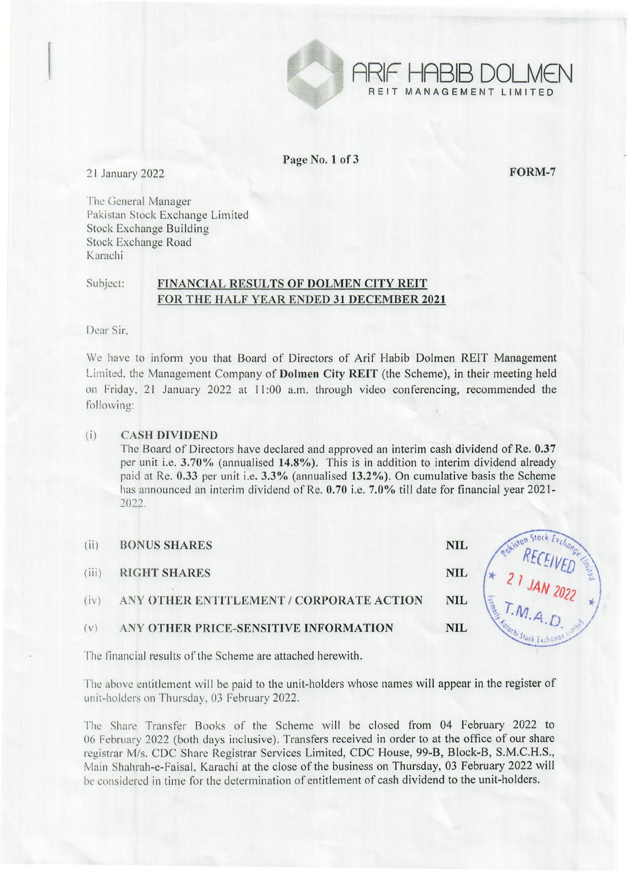

Page No.1 of 3

REIT MANAGEMENT LIMITED

21 January 2022 **FORM-7** 

The General Manager Pakistan Stock Exchange Limited Stock Exchange Building Stock Exchange Road Karachi

## Subject: FINANCIAL RESULTS OF DOLMEN CITY REIT FOR THE HALF YEAR ENDED 31 DECEMBER 2021

Dear Sir.

We have to inform you that Board of Directors of Arif Habib Dolmen REIT Management Limited. the Management Company of Dolmen City REIT (the Scheme), in their meeting held on Friday, 21 January 2022 at 11 :00 a.m. through video conferencing, recommended the following:

## (i) CASH DIVIDEND

The Board of Directors have declared and approved an interim cash dividend of Re. 0.37 per unit i.e. 3.70% (annualised 14.8%). This is in addition to interim dividend already paid at Re. 0.33 per unit i.e. 3.3% (annualised 13.2%). On cumulative basis the Scheme has announced an interim dividend of Re. 0.70 i.e. 7.0% till date for financial year 2021-:2022.

| (ii)  | <b>BONUS SHARES</b>                      | <b>NIL</b> |       |
|-------|------------------------------------------|------------|-------|
| (iii) | <b>RIGHT SHARES</b>                      | <b>NIL</b> |       |
| (iv)  | ANY OTHER ENTITLEMENT / CORPORATE ACTION | <b>NIL</b> | Forme |
| (v)   | ANY OTHER PRICE-SENSITIVE INFORMATION    | <b>NIL</b> |       |
|       |                                          |            |       |

The financial results of the Scheme are attached herewith.

The above entitlement will be paid to the unit-holders whose names will appear in the register of unit-holders on Thursday, 03 February 2022.

The Share Transfer Books of the Scheme will be closed from 04 February 2022 to 06 February 2022 (both days inclusive). Transfers received in order to at the office of our share registrar M/s. CDC Share Registrar Services Limited, CDC House, 99-B, Block-B, S.M.C.H.S., Main Shahrah-e-Faisal, Karachi at the close of the business on Thursday, 03 February 2022 will he considered in time for the determination of entitlement of cash dividend to the unit-holders.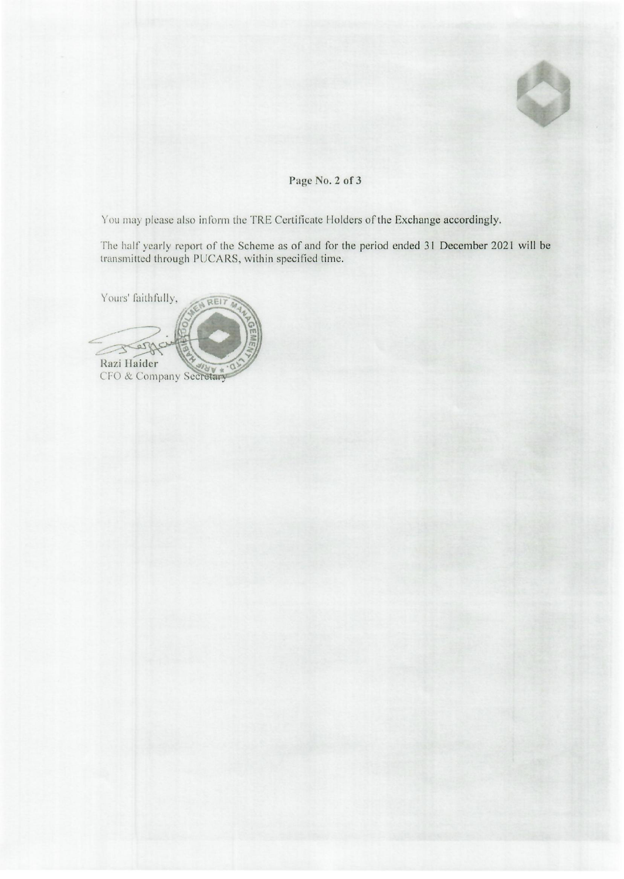

## **Page No.2 of 3**

You may please also inform the TRE Certificate Holders of the Exchange accordingly.

The half yearly report of the Scheme as of and for the period ended 31 December 2021 will be transmitted through PUCARS, within specified time.

Yours' faithfully, REIT Ser Razi Haider CFO & Company Secretary